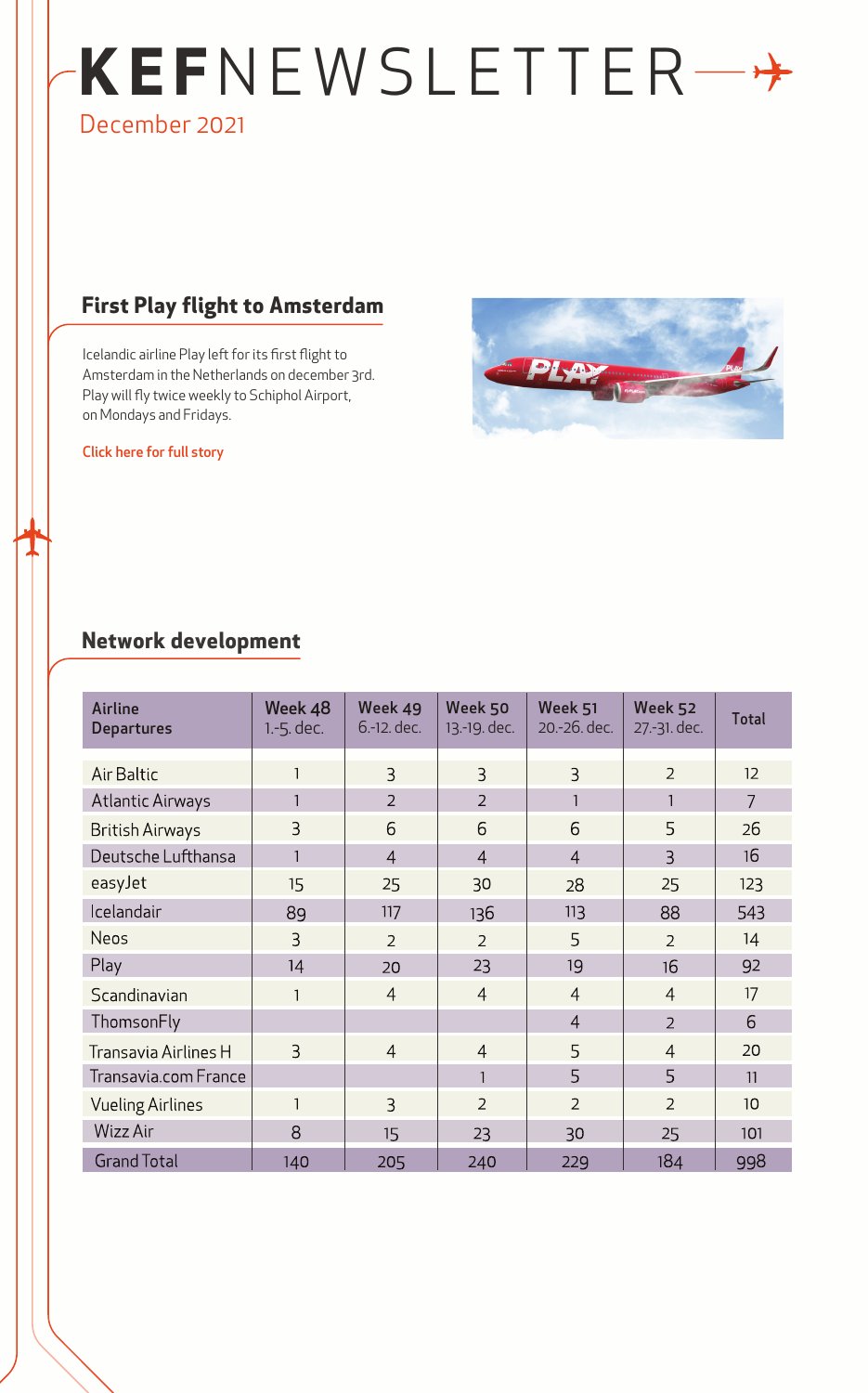# **KE F**NEWSLETTER December 2021

### **First Play flight to Amsterdam**

Icelandic airline Play left for its first flight to Amsterdam in the Netherlands on december 3rd. Play will fly twice weekly to Schiphol Airport, on Mondays and Fridays.

[Click here for full story](https://www.isavia.is/en/corporate/news-and-media/news/first-play-flight-to-amsterdam)



### **Network development**

| <b>Airline</b><br><b>Departures</b> | Week 48<br>1.-5. dec. | Week 49<br>6.-12. dec. | Week 50<br>13.-19. dec. | Week 51<br>20.-26. dec. | Week 52<br>27.-31. dec. | <b>Total</b>    |
|-------------------------------------|-----------------------|------------------------|-------------------------|-------------------------|-------------------------|-----------------|
| Air Baltic                          | $\mathbf{1}$          | $\overline{3}$         | $\overline{3}$          | $\overline{3}$          | $\overline{2}$          | 12 <sup>2</sup> |
| <b>Atlantic Airways</b>             | $\mathbf{1}$          | $\overline{2}$         | $\overline{2}$          |                         | 1                       | $\overline{7}$  |
| <b>British Airways</b>              | 3                     | 6                      | 6                       | 6                       | 5                       | 26              |
| Deutsche Lufthansa                  | $\mathbf{1}$          | $\overline{4}$         | $\overline{4}$          | $\overline{4}$          | $\overline{3}$          | 16              |
| easyJet                             | 15                    | 25                     | 30                      | 28                      | 25                      | 123             |
| Icelandair                          | 89                    | 117                    | 136                     | 113                     | 88                      | 543             |
| <b>Neos</b>                         | 3                     | $\overline{2}$         | $\overline{2}$          | 5                       | $\overline{2}$          | 14              |
| Play                                | 14                    | 20                     | 23                      | 19                      | 16                      | 92              |
| Scandinavian                        | $\mathbf{1}$          | $\overline{4}$         | $\overline{4}$          | $\overline{4}$          | $\overline{4}$          | 17              |
| ThomsonFly                          |                       |                        |                         | $\overline{4}$          | $\overline{2}$          | 6               |
| Transavia Airlines H                | $\overline{3}$        | $\overline{4}$         | $\overline{4}$          | 5                       | $\overline{4}$          | 20              |
| Transavia.com France                |                       |                        | $\mathbf{1}$            | 5                       | 5                       | 11              |
| <b>Vueling Airlines</b>             | $\mathbf{1}$          | $\overline{3}$         | $\overline{2}$          | $\overline{2}$          | $\overline{2}$          | 10 <sup>1</sup> |
| Wizz Air                            | 8                     | 15                     | 23                      | 30                      | 25                      | 101             |
| <b>Grand Total</b>                  | 140                   | 205                    | 240                     | 229                     | 184                     | 998             |